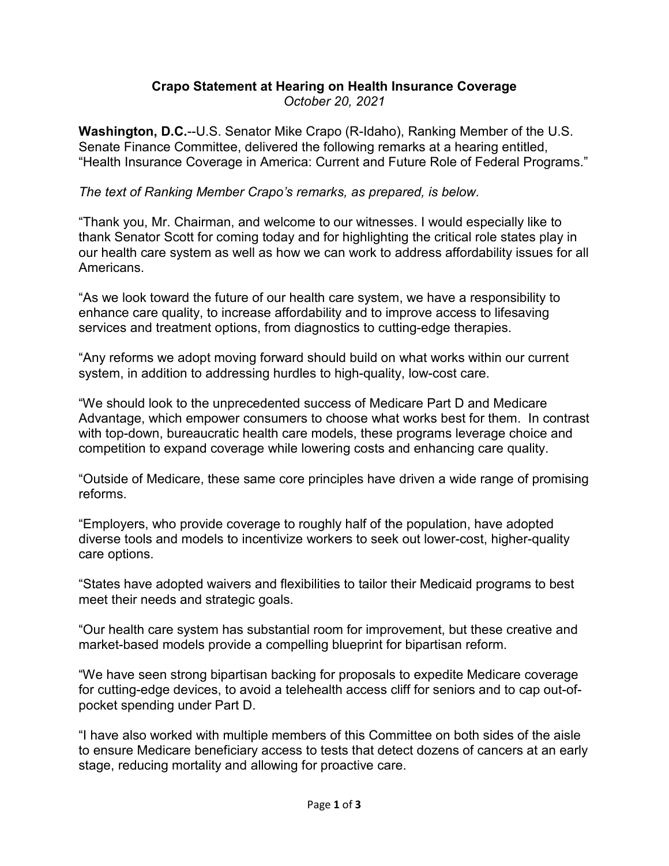## **Crapo Statement at Hearing on Health Insurance Coverage** *October 20, 2021*

**Washington, D.C.**--U.S. Senator Mike Crapo (R-Idaho), Ranking Member of the U.S. Senate Finance Committee, delivered the following remarks at a hearing entitled, "Health Insurance Coverage in America: Current and Future Role of Federal Programs."

## *The text of Ranking Member Crapo's remarks, as prepared, is below.*

"Thank you, Mr. Chairman, and welcome to our witnesses. I would especially like to thank Senator Scott for coming today and for highlighting the critical role states play in our health care system as well as how we can work to address affordability issues for all Americans.

"As we look toward the future of our health care system, we have a responsibility to enhance care quality, to increase affordability and to improve access to lifesaving services and treatment options, from diagnostics to cutting-edge therapies.

"Any reforms we adopt moving forward should build on what works within our current system, in addition to addressing hurdles to high-quality, low-cost care.

"We should look to the unprecedented success of Medicare Part D and Medicare Advantage, which empower consumers to choose what works best for them. In contrast with top-down, bureaucratic health care models, these programs leverage choice and competition to expand coverage while lowering costs and enhancing care quality.

"Outside of Medicare, these same core principles have driven a wide range of promising reforms.

"Employers, who provide coverage to roughly half of the population, have adopted diverse tools and models to incentivize workers to seek out lower-cost, higher-quality care options.

"States have adopted waivers and flexibilities to tailor their Medicaid programs to best meet their needs and strategic goals.

"Our health care system has substantial room for improvement, but these creative and market-based models provide a compelling blueprint for bipartisan reform.

"We have seen strong bipartisan backing for proposals to expedite Medicare coverage for cutting-edge devices, to avoid a telehealth access cliff for seniors and to cap out-ofpocket spending under Part D.

"I have also worked with multiple members of this Committee on both sides of the aisle to ensure Medicare beneficiary access to tests that detect dozens of cancers at an early stage, reducing mortality and allowing for proactive care.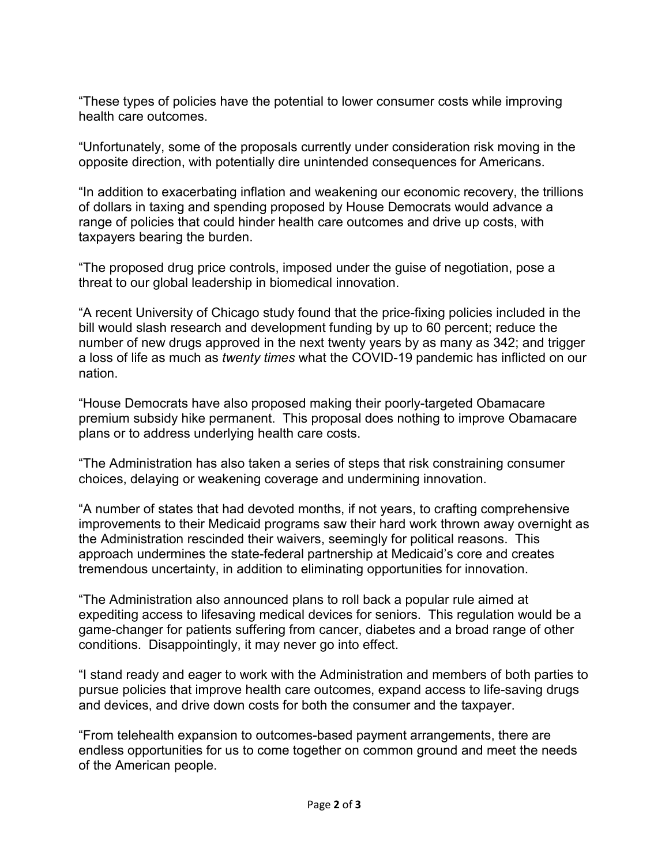"These types of policies have the potential to lower consumer costs while improving health care outcomes.

"Unfortunately, some of the proposals currently under consideration risk moving in the opposite direction, with potentially dire unintended consequences for Americans.

"In addition to exacerbating inflation and weakening our economic recovery, the trillions of dollars in taxing and spending proposed by House Democrats would advance a range of policies that could hinder health care outcomes and drive up costs, with taxpayers bearing the burden.

"The proposed drug price controls, imposed under the guise of negotiation, pose a threat to our global leadership in biomedical innovation.

"A recent University of Chicago study found that the price-fixing policies included in the bill would slash research and development funding by up to 60 percent; reduce the number of new drugs approved in the next twenty years by as many as 342; and trigger a loss of life as much as *twenty times* what the COVID-19 pandemic has inflicted on our nation.

"House Democrats have also proposed making their poorly-targeted Obamacare premium subsidy hike permanent. This proposal does nothing to improve Obamacare plans or to address underlying health care costs.

"The Administration has also taken a series of steps that risk constraining consumer choices, delaying or weakening coverage and undermining innovation.

"A number of states that had devoted months, if not years, to crafting comprehensive improvements to their Medicaid programs saw their hard work thrown away overnight as the Administration rescinded their waivers, seemingly for political reasons. This approach undermines the state-federal partnership at Medicaid's core and creates tremendous uncertainty, in addition to eliminating opportunities for innovation.

"The Administration also announced plans to roll back a popular rule aimed at expediting access to lifesaving medical devices for seniors. This regulation would be a game-changer for patients suffering from cancer, diabetes and a broad range of other conditions. Disappointingly, it may never go into effect.

"I stand ready and eager to work with the Administration and members of both parties to pursue policies that improve health care outcomes, expand access to life-saving drugs and devices, and drive down costs for both the consumer and the taxpayer.

"From telehealth expansion to outcomes-based payment arrangements, there are endless opportunities for us to come together on common ground and meet the needs of the American people.